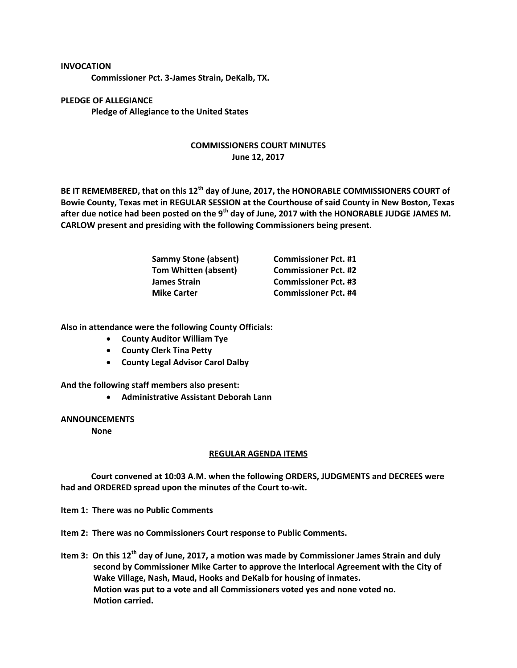## **INVOCATION**

**Commissioner Pct. 3-James Strain, DeKalb, TX.**

**PLEDGE OF ALLEGIANCE Pledge of Allegiance to the United States**

## **COMMISSIONERS COURT MINUTES June 12, 2017**

**BE IT REMEMBERED, that on this 12th day of June, 2017, the HONORABLE COMMISSIONERS COURT of Bowie County, Texas met in REGULAR SESSION at the Courthouse of said County in New Boston, Texas after due notice had been posted on the 9th day of June, 2017 with the HONORABLE JUDGE JAMES M. CARLOW present and presiding with the following Commissioners being present.**

| <b>Sammy Stone (absent)</b> | <b>Commissioner Pct. #1</b> |
|-----------------------------|-----------------------------|
| <b>Tom Whitten (absent)</b> | <b>Commissioner Pct. #2</b> |
| <b>James Strain</b>         | <b>Commissioner Pct. #3</b> |
| <b>Mike Carter</b>          | <b>Commissioner Pct. #4</b> |

**Also in attendance were the following County Officials:**

- **County Auditor William Tye**
- **County Clerk Tina Petty**
- **County Legal Advisor Carol Dalby**

**And the following staff members also present:**

**Administrative Assistant Deborah Lann**

**ANNOUNCEMENTS**

**None**

## **REGULAR AGENDA ITEMS**

**Court convened at 10:03 A.M. when the following ORDERS, JUDGMENTS and DECREES were had and ORDERED spread upon the minutes of the Court to-wit.**

**Item 1: There was no Public Comments**

**Item 2: There was no Commissioners Court response to Public Comments.**

**Item 3: On this 12th day of June, 2017, a motion was made by Commissioner James Strain and duly second by Commissioner Mike Carter to approve the Interlocal Agreement with the City of Wake Village, Nash, Maud, Hooks and DeKalb for housing of inmates. Motion was put to a vote and all Commissioners voted yes and none voted no. Motion carried.**